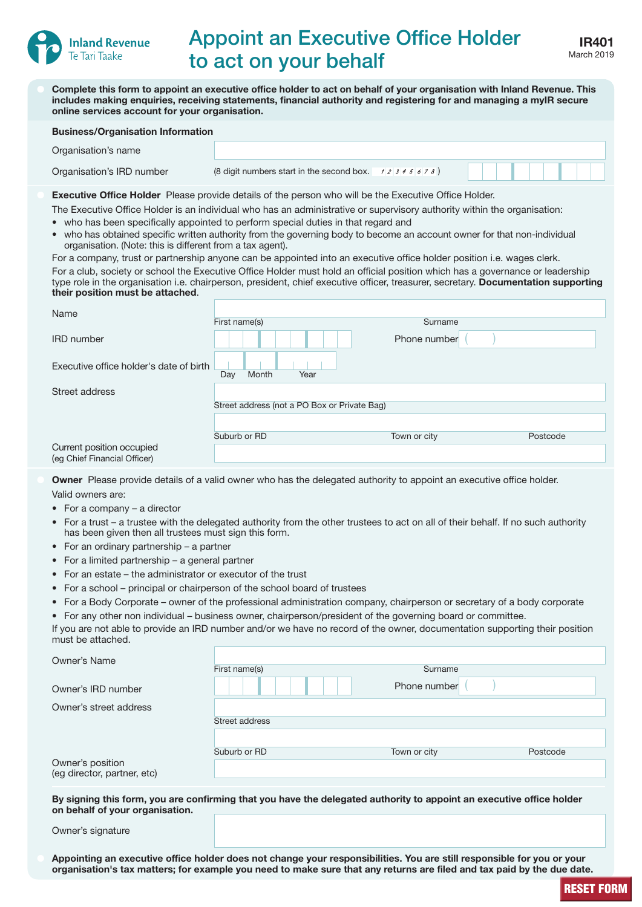

## Appoint an Executive Office Holder to act on your behalf

RESET FORM

• Complete this form to appoint an executive office holder to act on behalf of your organisation with Inland Revenue. This includes making enquiries, receiving statements, financial authority and registering for and managing a myIR secure online services account for your organisation.

## Business/Organisation Information

Organisation's name

Organisation's IRD number (8 digit numbers start in the second box.  $12345678$ )

**Executive Office Holder** Please provide details of the person who will be the Executive Office Holder.

- The Executive Office Holder is an individual who has an administrative or supervisory authority within the organisation:
- who has been specifically appointed to perform special duties in that regard and
- who has obtained specific written authority from the governing body to become an account owner for that non-individual organisation. (Note: this is different from a tax agent).

For a company, trust or partnership anyone can be appointed into an executive office holder position i.e. wages clerk. For a club, society or school the Executive Office Holder must hold an official position which has a governance or leadership type role in the organisation i.e. chairperson, president, chief executive officer, treasurer, secretary. Documentation supporting their position must be attached.

| Name                                                      |                                              |              |          |
|-----------------------------------------------------------|----------------------------------------------|--------------|----------|
|                                                           | First name(s)                                | Surname      |          |
| <b>IRD</b> number                                         |                                              | Phone number |          |
| Executive office holder's date of birth                   | Month<br>Year<br>Day                         |              |          |
| Street address                                            |                                              |              |          |
|                                                           | Street address (not a PO Box or Private Bag) |              |          |
|                                                           |                                              |              |          |
|                                                           | Suburb or RD                                 | Town or city | Postcode |
| Current position occupied<br>(eg Chief Financial Officer) |                                              |              |          |

**Owner** Please provide details of a valid owner who has the delegated authority to appoint an executive office holder. Valid owners are:

- For a company a director
- For a trust a trustee with the delegated authority from the other trustees to act on all of their behalf. If no such authority has been given then all trustees must sign this form.
- For an ordinary partnership a partner
- For a limited partnership a general partner
- For an estate the administrator or executor of the trust
- For a school principal or chairperson of the school board of trustees
- For a Body Corporate owner of the professional administration company, chairperson or secretary of a body corporate
- For any other non individual business owner, chairperson/president of the governing board or committee.

If you are not able to provide an IRD number and/or we have no record of the owner, documentation supporting their position must be attached.

| Owner's Name                                    |                |              |          |
|-------------------------------------------------|----------------|--------------|----------|
|                                                 | First name(s)  | Surname      |          |
| Owner's IRD number                              |                | Phone number |          |
| Owner's street address                          |                |              |          |
|                                                 | Street address |              |          |
|                                                 |                |              |          |
|                                                 | Suburb or RD   | Town or city | Postcode |
| Owner's position<br>(eg director, partner, etc) |                |              |          |
|                                                 |                |              |          |
|                                                 |                |              |          |

By signing this form, you are confirming that you have the delegated authority to appoint an executive office holder on behalf of your organisation.

Owner's signature

• Appointing an executive office holder does not change your responsibilities. You are still responsible for you or your organisation's tax matters; for example you need to make sure that any returns are filed and tax paid by the due date.